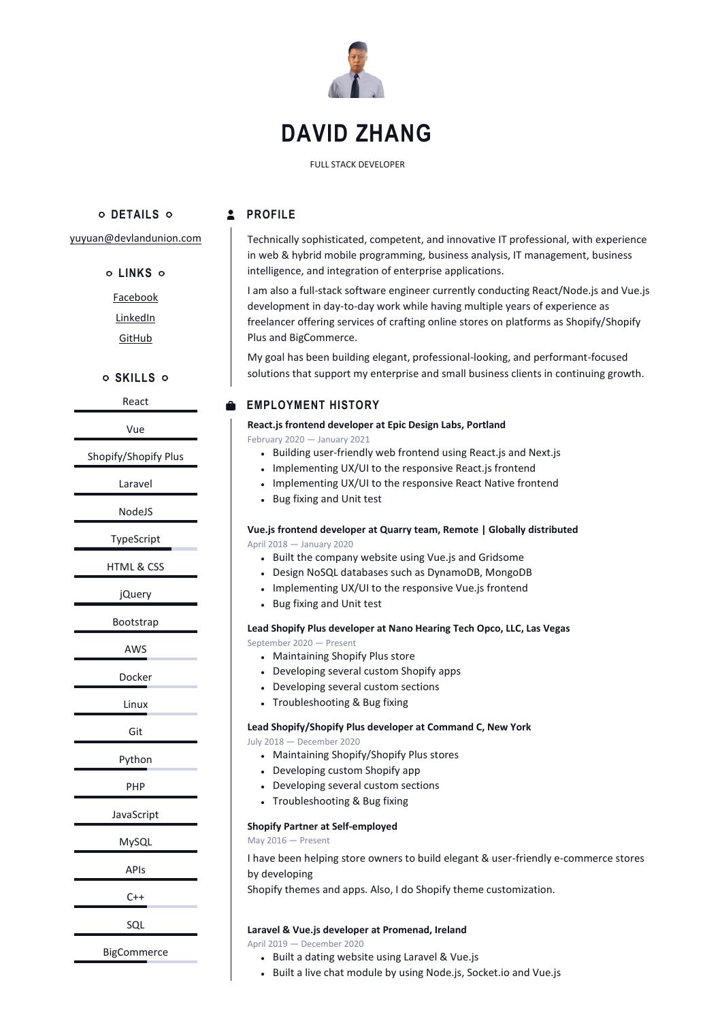

# **DAVID ZHANG**

FULL STACK DEVELOPER

**DETAILS**

#### **2** PROFILE

[yuyuan@devlandunion.com](mailto:yuyuan@devlandunion.com)

**LINKS**

[Facebook](https://www.facebook.com/yuyuan.zhang117/)

[LinkedIn](https://www.linkedin.com/in/david-zhang-176167207/)

**[GitHub](https://github.com/lambdadev007)** 

**SKILLS**

React

Vue

Shopify/Shopify Plus

Laravel

NodeJS

TypeScript

HTML & CSS

jQuery

Bootstrap

AWS

Docker

Linux

Git

Python

PHP

JavaScript

MySQL

APIs

 $C++$ 

SQL

BigCommerce

Technically sophisticated, competent, and innovative IT professional, with experience in web & hybrid mobile programming, business analysis, IT management, business intelligence, and integration of enterprise applications.

I am also a full-stack software engineer currently conducting React/Node.js and Vue.js development in day-to-day work while having multiple years of experience as freelancer offering services of crafting online stores on platforms as Shopify/Shopify Plus and BigCommerce.

My goal has been building elegant, professional-looking, and performant-focused solutions that support my enterprise and small business clients in continuing growth.

### **EMPLOYMENT HISTORY**

**React.js frontend developer at Epic Design Labs, Portland**

February 2020 — January 2021

- Building user-friendly web frontend using React.js and Next.js
- Implementing UX/UI to the responsive React.js frontend
- Implementing UX/UI to the responsive React Native frontend
- Bug fixing and Unit test

#### **Vue.js frontend developer at Quarry team, Remote | Globally distributed** April 2018 — January 2020

- Built the company website using Vue.js and Gridsome
- Design NoSQL databases such as DynamoDB, MongoDB
- Implementing UX/UI to the responsive Vue.js frontend
- Bug fixing and Unit test

# **Lead Shopify Plus developer at Nano Hearing Tech Opco, LLC, Las Vegas**

September 2020 — Present

- Maintaining Shopify Plus store
- Developing several custom Shopify apps
- Developing several custom sections
- Troubleshooting & Bug fixing

#### **Lead Shopify/Shopify Plus developer at Command C, New York**

July 2018 — December 2020

- Maintaining Shopify/Shopify Plus stores
- Developing custom Shopify app
- Developing several custom sections
- Troubleshooting & Bug fixing

#### **Shopify Partner at Self-employed**

May 2016 — Present

I have been helping store owners to build elegant & user-friendly e-commerce stores by developing

Shopify themes and apps. Also, I do Shopify theme customization.

#### **Laravel & Vue.js developer at Promenad, Ireland**

April 2019 — December 2020

- Built a dating website using Laravel & Vue.js
- Built a live chat module by using Node.js, Socket.io and Vue.js